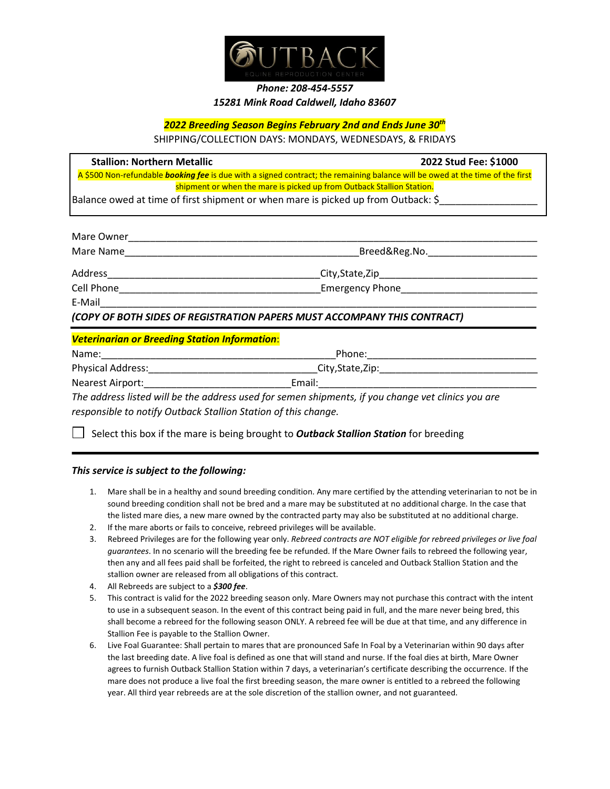

## *Phone: 208-454-5557 15281 Mink Road Caldwell, Idaho 83607*

## *2022 Breeding Season Begins February 2nd and Ends June 30th*

SHIPPING/COLLECTION DAYS: MONDAYS, WEDNESDAYS, & FRIDAYS

**Stallion: Northern Metallic 2022 Stud Fee: \$1000** A \$500 Non-refundable *booking fee* is due with a signed contract; the remaining balance will be owed at the time of the first shipment or when the mare is picked up from Outback Stallion Station.

Balance owed at time of first shipment or when mare is picked up from Outback: \$

| Mare Owner                                           |                                                                          |
|------------------------------------------------------|--------------------------------------------------------------------------|
| Mare Name                                            | Breed&Reg.No.                                                            |
| Address _______________                              | _City,State,Zip___________________                                       |
|                                                      |                                                                          |
| $E$ -Mail___________                                 |                                                                          |
|                                                      | (COPY OF BOTH SIDES OF REGISTRATION PAPERS MUST ACCOMPANY THIS CONTRACT) |
| <b>Veterinarian or Breeding Station Information:</b> |                                                                          |
|                                                      | Phone: <u>_________</u>                                                  |
| Physical Address: 2008                               |                                                                          |
| <b>Nearest Airport:</b>                              | Email:                                                                   |

*The address listed will be the address used for semen shipments, if you change vet clinics you are responsible to notify Outback Stallion Station of this change.*

Select this box if the mare is being brought to *Outback Stallion Station* for breeding

## *This service is subject to the following:*

- 1. Mare shall be in a healthy and sound breeding condition. Any mare certified by the attending veterinarian to not be in sound breeding condition shall not be bred and a mare may be substituted at no additional charge. In the case that the listed mare dies, a new mare owned by the contracted party may also be substituted at no additional charge.
- 2. If the mare aborts or fails to conceive, rebreed privileges will be available.
- 3. Rebreed Privileges are for the following year only. *Rebreed contracts are NOT eligible for rebreed privileges or live foal guarantees*. In no scenario will the breeding fee be refunded. If the Mare Owner fails to rebreed the following year, then any and all fees paid shall be forfeited, the right to rebreed is canceled and Outback Stallion Station and the stallion owner are released from all obligations of this contract.
- 4. All Rebreeds are subject to a *\$300 fee*.
- 5. This contract is valid for the 2022 breeding season only. Mare Owners may not purchase this contract with the intent to use in a subsequent season. In the event of this contract being paid in full, and the mare never being bred, this shall become a rebreed for the following season ONLY. A rebreed fee will be due at that time, and any difference in Stallion Fee is payable to the Stallion Owner.
- 6. Live Foal Guarantee: Shall pertain to mares that are pronounced Safe In Foal by a Veterinarian within 90 days after the last breeding date. A live foal is defined as one that will stand and nurse. If the foal dies at birth, Mare Owner agrees to furnish Outback Stallion Station within 7 days, a veterinarian's certificate describing the occurrence. If the mare does not produce a live foal the first breeding season, the mare owner is entitled to a rebreed the following year. All third year rebreeds are at the sole discretion of the stallion owner, and not guaranteed.